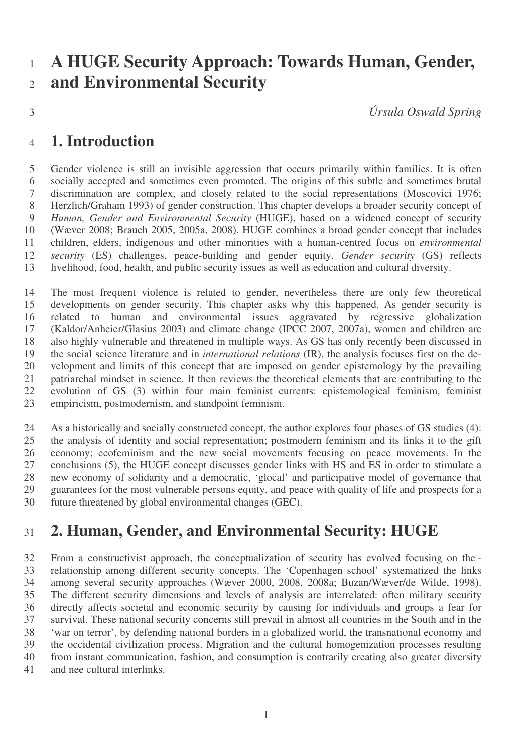# **A HUGE Security Approach: Towards Human, Gender, and Environmental Security**

*Úrsula Oswald Spring*

#### **1. Introduction**

 Gender violence is still an invisible aggression that occurs primarily within families. It is often socially accepted and sometimes even promoted. The origins of this subtle and sometimes brutal discrimination are complex, and closely related to the social representations (Moscovici 1976; Herzlich/Graham 1993) of gender construction. This chapter develops a broader security concept of *Human, Gender and Environmental Security* (HUGE), based on a widened concept of security (Wæver 2008; Brauch 2005, 2005a, 2008). HUGE combines a broad gender concept that includes children, elders, indigenous and other minorities with a human-centred focus on *environmental security* (ES) challenges, peace-building and gender equity. *Gender security* (GS) reflects livelihood, food, health, and public security issues as well as education and cultural diversity.

 The most frequent violence is related to gender, nevertheless there are only few theoretical developments on gender security. This chapter asks why this happened. As gender security is related to human and environmental issues aggravated by regressive globalization (Kaldor/Anheier/Glasius 2003) and climate change (IPCC 2007, 2007a), women and children are also highly vulnerable and threatened in multiple ways. As GS has only recently been discussed in the social science literature and in *international relations* (IR), the analysis focuses first on the de- velopment and limits of this concept that are imposed on gender epistemology by the prevailing patriarchal mindset in science. It then reviews the theoretical elements that are contributing to the evolution of GS (3) within four main feminist currents: epistemological feminism, feminist empiricism, postmodernism, and standpoint feminism.

 As a historically and socially constructed concept, the author explores four phases of GS studies (4): the analysis of identity and social representation; postmodern feminism and its links it to the gift economy; ecofeminism and the new social movements focusing on peace movements. In the conclusions (5), the HUGE concept discusses gender links with HS and ES in order to stimulate a new economy of solidarity and a democratic, 'glocal' and participative model of governance that guarantees for the most vulnerable persons equity, and peace with quality of life and prospects for a future threatened by global environmental changes (GEC).

## **2. Human, Gender, and Environmental Security: HUGE**

 From a constructivist approach, the conceptualization of security has evolved focusing on the - relationship among different security concepts. The 'Copenhagen school' systematized the links among several security approaches (Wæver 2000, 2008, 2008a; Buzan/Wæver/de Wilde, 1998). The different security dimensions and levels of analysis are interrelated: often military security directly affects societal and economic security by causing for individuals and groups a fear for survival. These national security concerns still prevail in almost all countries in the South and in the 'war on terror', by defending national borders in a globalized world, the transnational economy and the occidental civilization process. Migration and the cultural homogenization processes resulting from instant communication, fashion, and consumption is contrarily creating also greater diversity and nee cultural interlinks.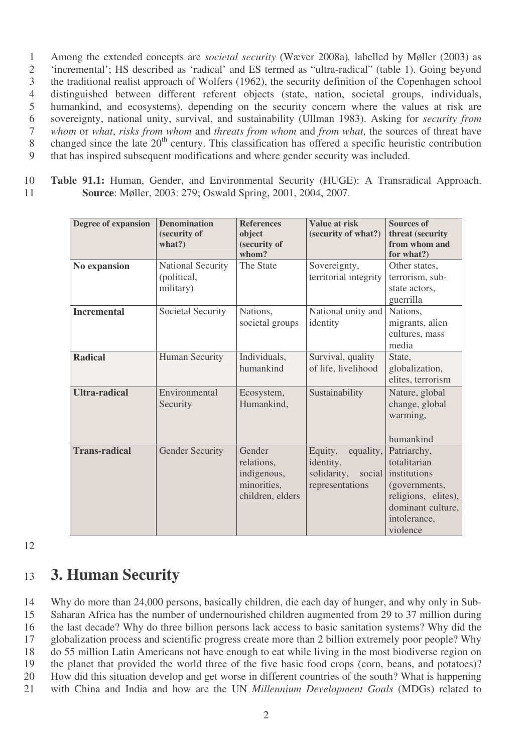Among the extended concepts are *societal security* (Wæver 2008a)*,* labelled by Møller (2003) as 'incremental'; HS described as 'radical' and ES termed as "ultra-radical" (table 1). Going beyond the traditional realist approach of Wolfers (1962), the security definition of the Copenhagen school distinguished between different referent objects (state, nation, societal groups, individuals, humankind, and ecosystems), depending on the security concern where the values at risk are sovereignty, national unity, survival, and sustainability (Ullman 1983). Asking for *security from whom* or *what*, *risks from whom* and *threats from whom* and *from what*, the sources of threat have 8 changed since the late 20<sup>th</sup> century. This classification has offered a specific heuristic contribution that has inspired subsequent modifications and where gender security was included.

10 **Table 91.1:** Human, Gender, and Environmental Security (HUGE): A Transradical Approach. 11 **Source**: Møller, 2003: 279; Oswald Spring, 2001, 2004, 2007.

| Degree of expansion  | <b>Denomination</b>              | <b>References</b>                                                      | <b>Value at risk</b>                                                          | <b>Sources of</b>                                                                                                                    |
|----------------------|----------------------------------|------------------------------------------------------------------------|-------------------------------------------------------------------------------|--------------------------------------------------------------------------------------------------------------------------------------|
|                      | (security of                     | object                                                                 | (security of what?)                                                           | threat (security                                                                                                                     |
|                      | what?)                           | (security of<br>whom?                                                  |                                                                               | from whom and<br>for what?)                                                                                                          |
| No expansion         | National Security<br>(political, | The State                                                              | Sovereignty,<br>territorial integrity                                         | Other states,<br>terrorism, sub-<br>state actors,                                                                                    |
|                      | military)                        |                                                                        |                                                                               | guerrilla                                                                                                                            |
| <b>Incremental</b>   | Societal Security                | Nations,<br>societal groups                                            | National unity and<br>identity                                                | Nations,<br>migrants, alien<br>cultures, mass<br>media                                                                               |
| <b>Radical</b>       | Human Security                   | Individuals,<br>humankind                                              | Survival, quality<br>of life, livelihood                                      | State,<br>globalization,<br>elites, terrorism                                                                                        |
| <b>Ultra-radical</b> | Environmental<br>Security        | Ecosystem,<br>Humankind,                                               | Sustainability                                                                | Nature, global<br>change, global<br>warming,<br>humankind                                                                            |
| <b>Trans-radical</b> | <b>Gender Security</b>           | Gender<br>relations,<br>indigenous,<br>minorities,<br>children, elders | Equity,<br>equality,<br>identity,<br>solidarity,<br>social<br>representations | Patriarchy,<br>totalitarian<br>institutions<br>(governments,<br>religions, elites),<br>dominant culture,<br>intolerance,<br>violence |

12

## <sup>13</sup> **3. Human Security**

 Why do more than 24,000 persons, basically children, die each day of hunger, and why only in Sub- Saharan Africa has the number of undernourished children augmented from 29 to 37 million during the last decade? Why do three billion persons lack access to basic sanitation systems? Why did the globalization process and scientific progress create more than 2 billion extremely poor people? Why do 55 million Latin Americans not have enough to eat while living in the most biodiverse region on the planet that provided the world three of the five basic food crops (corn, beans, and potatoes)? How did this situation develop and get worse in different countries of the south? What is happening with China and India and how are the UN *Millennium Development Goals* (MDGs) related to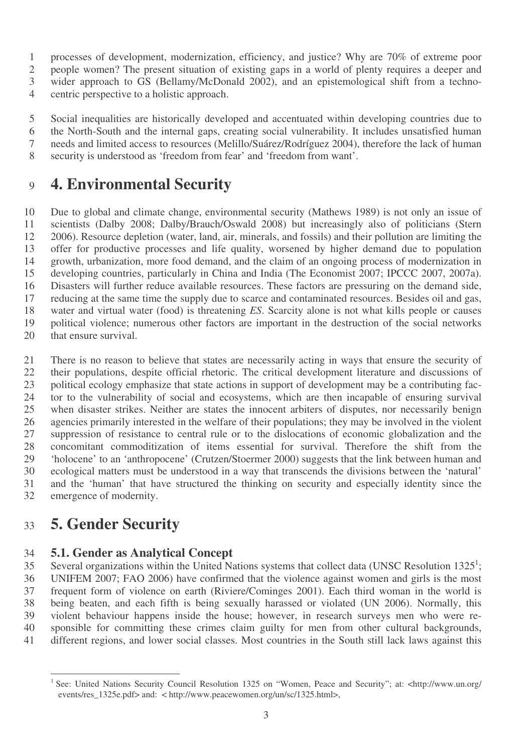processes of development, modernization, efficiency, and justice? Why are 70% of extreme poor

people women? The present situation of existing gaps in a world of plenty requires a deeper and

wider approach to GS (Bellamy/McDonald 2002), and an epistemological shift from a techno-

centric perspective to a holistic approach.

 Social inequalities are historically developed and accentuated within developing countries due to the North-South and the internal gaps, creating social vulnerability. It includes unsatisfied human needs and limited access to resources (Melillo/Suárez/Rodríguez 2004), therefore the lack of human security is understood as 'freedom from fear' and 'freedom from want'.

# **4. Environmental Security**

 Due to global and climate change, environmental security (Mathews 1989) is not only an issue of scientists (Dalby 2008; Dalby/Brauch/Oswald 2008) but increasingly also of politicians (Stern 2006). Resource depletion (water, land, air, minerals, and fossils) and their pollution are limiting the offer for productive processes and life quality, worsened by higher demand due to population growth, urbanization, more food demand, and the claim of an ongoing process of modernization in developing countries, particularly in China and India (The Economist 2007; IPCCC 2007, 2007a). Disasters will further reduce available resources. These factors are pressuring on the demand side, reducing at the same time the supply due to scarce and contaminated resources. Besides oil and gas, water and virtual water (food) is threatening *ES*. Scarcity alone is not what kills people or causes political violence; numerous other factors are important in the destruction of the social networks that ensure survival.

 There is no reason to believe that states are necessarily acting in ways that ensure the security of their populations, despite official rhetoric. The critical development literature and discussions of political ecology emphasize that state actions in support of development may be a contributing fac- tor to the vulnerability of social and ecosystems, which are then incapable of ensuring survival when disaster strikes. Neither are states the innocent arbiters of disputes, nor necessarily benign agencies primarily interested in the welfare of their populations; they may be involved in the violent suppression of resistance to central rule or to the dislocations of economic globalization and the concomitant commoditization of items essential for survival. Therefore the shift from the 'holocene' to an 'anthropocene' (Crutzen/Stoermer 2000) suggests that the link between human and ecological matters must be understood in a way that transcends the divisions between the 'natural' and the 'human' that have structured the thinking on security and especially identity since the emergence of modernity.

# **5. Gender Security**

#### **5.1. Gender as Analytical Concept**

35 Several organizations within the United Nations systems that collect data (UNSC Resolution 1325<sup>1</sup>; UNIFEM 2007; FAO 2006) have confirmed that the violence against women and girls is the most frequent form of violence on earth (Riviere/Cominges 2001). Each third woman in the world is being beaten, and each fifth is being sexually harassed or violated (UN 2006). Normally, this violent behaviour happens inside the house; however, in research surveys men who were re- sponsible for committing these crimes claim guilty for men from other cultural backgrounds, different regions, and lower social classes. Most countries in the South still lack laws against this

 See: United Nations Security Council Resolution 1325 on "Women, Peace and Security"; at: <http://www.un.org/ events/res\_1325e.pdf> and: < http://www.peacewomen.org/un/sc/1325.html>,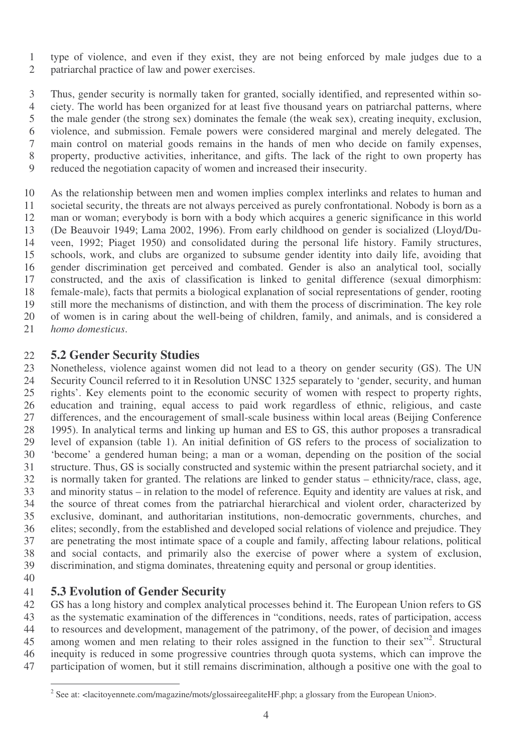type of violence, and even if they exist, they are not being enforced by male judges due to a patriarchal practice of law and power exercises.

 Thus, gender security is normally taken for granted, socially identified, and represented within so- ciety. The world has been organized for at least five thousand years on patriarchal patterns, where the male gender (the strong sex) dominates the female (the weak sex), creating inequity, exclusion, violence, and submission. Female powers were considered marginal and merely delegated. The main control on material goods remains in the hands of men who decide on family expenses, property, productive activities, inheritance, and gifts. The lack of the right to own property has reduced the negotiation capacity of women and increased their insecurity.

 As the relationship between men and women implies complex interlinks and relates to human and societal security, the threats are not always perceived as purely confrontational. Nobody is born as a man or woman; everybody is born with a body which acquires a generic significance in this world (De Beauvoir 1949; Lama 2002, 1996). From early childhood on gender is socialized (Lloyd/Du- veen, 1992; Piaget 1950) and consolidated during the personal life history. Family structures, schools, work, and clubs are organized to subsume gender identity into daily life, avoiding that gender discrimination get perceived and combated. Gender is also an analytical tool, socially constructed, and the axis of classification is linked to genital difference (sexual dimorphism: female-male), facts that permits a biological explanation of social representations of gender, rooting still more the mechanisms of distinction, and with them the process of discrimination. The key role of women is in caring about the well-being of children, family, and animals, and is considered a *homo domesticus*.

# **5.2 Gender Security Studies**

Nonetheless, violence against women did not lead to a theory on gender security (GS). The UN Security Council referred to it in Resolution UNSC 1325 separately to 'gender, security, and human rights'. Key elements point to the economic security of women with respect to property rights, education and training, equal access to paid work regardless of ethnic, religious, and caste differences, and the encouragement of small-scale business within local areas (Beijing Conference 1995). In analytical terms and linking up human and ES to GS, this author proposes a transradical level of expansion (table 1). An initial definition of GS refers to the process of socialization to 'become' a gendered human being; a man or a woman, depending on the position of the social structure. Thus, GS is socially constructed and systemic within the present patriarchal society, and it is normally taken for granted. The relations are linked to gender status – ethnicity/race, class, age, and minority status – in relation to the model of reference. Equity and identity are values at risk, and the source of threat comes from the patriarchal hierarchical and violent order, characterized by exclusive, dominant, and authoritarian institutions, non-democratic governments, churches, and elites; secondly, from the established and developed social relations of violence and prejudice. They are penetrating the most intimate space of a couple and family, affecting labour relations, political and social contacts, and primarily also the exercise of power where a system of exclusion, discrimination, and stigma dominates, threatening equity and personal or group identities. 

# **5.3 Evolution of Gender Security**

GS has a long history and complex analytical processes behind it. The European Union refers to GS as the systematic examination of the differences in "conditions, needs, rates of participation, access to resources and development, management of the patrimony, of the power, of decision and images 45 among women and men relating to their roles assigned in the function to their sex<sup>"2</sup>. Structural inequity is reduced in some progressive countries through quota systems, which can improve the participation of women, but it still remains discrimination, although a positive one with the goal to

<sup>&</sup>lt;sup>2</sup> See at: <lacitoyennete.com/magazine/mots/glossaireegaliteHF.php; a glossary from the European Union>.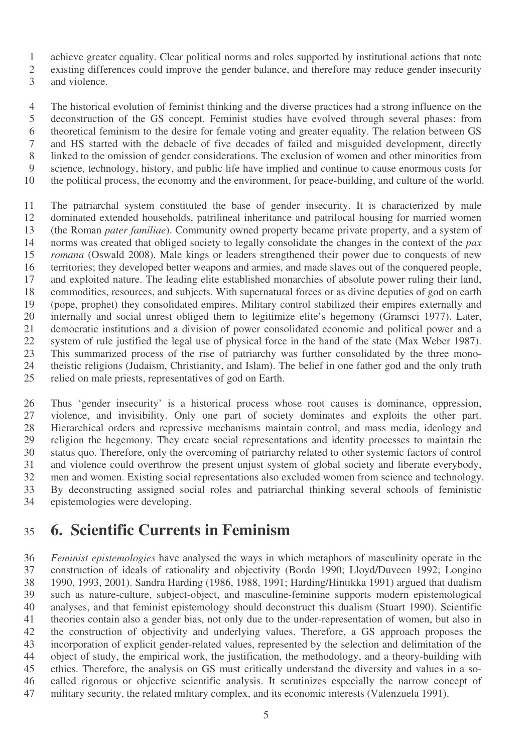achieve greater equality. Clear political norms and roles supported by institutional actions that note

existing differences could improve the gender balance, and therefore may reduce gender insecurity

and violence.

 The historical evolution of feminist thinking and the diverse practices had a strong influence on the deconstruction of the GS concept. Feminist studies have evolved through several phases: from theoretical feminism to the desire for female voting and greater equality. The relation between GS and HS started with the debacle of five decades of failed and misguided development, directly linked to the omission of gender considerations. The exclusion of women and other minorities from science, technology, history, and public life have implied and continue to cause enormous costs for the political process, the economy and the environment, for peace-building, and culture of the world.

 The patriarchal system constituted the base of gender insecurity. It is characterized by male dominated extended households, patrilineal inheritance and patrilocal housing for married women (the Roman *pater familiae*). Community owned property became private property, and a system of norms was created that obliged society to legally consolidate the changes in the context of the *pax romana* (Oswald 2008). Male kings or leaders strengthened their power due to conquests of new territories; they developed better weapons and armies, and made slaves out of the conquered people, and exploited nature. The leading elite established monarchies of absolute power ruling their land, commodities, resources, and subjects. With supernatural forces or as divine deputies of god on earth (pope, prophet) they consolidated empires. Military control stabilized their empires externally and internally and social unrest obliged them to legitimize elite's hegemony (Gramsci 1977). Later, democratic institutions and a division of power consolidated economic and political power and a system of rule justified the legal use of physical force in the hand of the state (Max Weber 1987). This summarized process of the rise of patriarchy was further consolidated by the three mono- theistic religions (Judaism, Christianity, and Islam). The belief in one father god and the only truth relied on male priests, representatives of god on Earth.

 Thus 'gender insecurity' is a historical process whose root causes is dominance, oppression, violence, and invisibility. Only one part of society dominates and exploits the other part. Hierarchical orders and repressive mechanisms maintain control, and mass media, ideology and religion the hegemony. They create social representations and identity processes to maintain the status quo. Therefore, only the overcoming of patriarchy related to other systemic factors of control and violence could overthrow the present unjust system of global society and liberate everybody, men and women. Existing social representations also excluded women from science and technology. By deconstructing assigned social roles and patriarchal thinking several schools of feministic epistemologies were developing.

## **6. Scientific Currents in Feminism**

 *Feminist epistemologies* have analysed the ways in which metaphors of masculinity operate in the construction of ideals of rationality and objectivity (Bordo 1990; Lloyd/Duveen 1992; Longino 1990, 1993, 2001). Sandra Harding (1986, 1988, 1991; Harding/Hintikka 1991) argued that dualism such as nature-culture, subject-object, and masculine-feminine supports modern epistemological analyses, and that feminist epistemology should deconstruct this dualism (Stuart 1990). Scientific theories contain also a gender bias, not only due to the under-representation of women, but also in the construction of objectivity and underlying values. Therefore, a GS approach proposes the incorporation of explicit gender-related values, represented by the selection and delimitation of the object of study, the empirical work, the justification, the methodology, and a theory-building with ethics. Therefore, the analysis on GS must critically understand the diversity and values in a so- called rigorous or objective scientific analysis. It scrutinizes especially the narrow concept of military security, the related military complex, and its economic interests (Valenzuela 1991).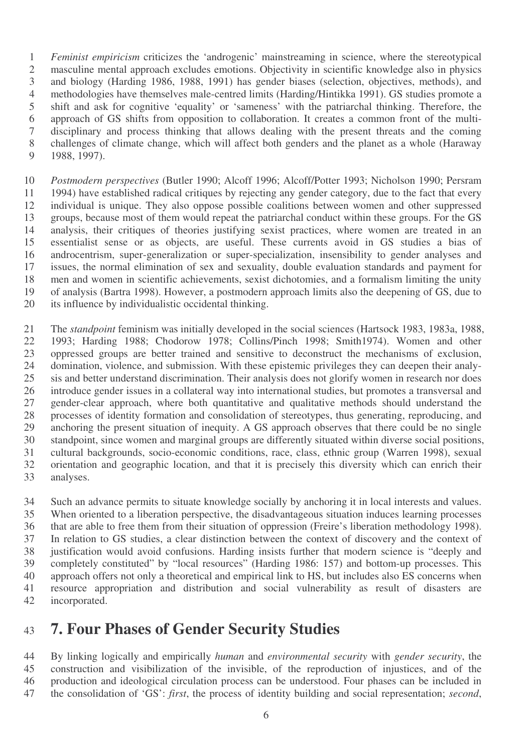*Feminist empiricism* criticizes the 'androgenic' mainstreaming in science, where the stereotypical masculine mental approach excludes emotions. Objectivity in scientific knowledge also in physics and biology (Harding 1986, 1988, 1991) has gender biases (selection, objectives, methods), and methodologies have themselves male-centred limits (Harding/Hintikka 1991). GS studies promote a shift and ask for cognitive 'equality' or 'sameness' with the patriarchal thinking. Therefore, the approach of GS shifts from opposition to collaboration. It creates a common front of the multi- disciplinary and process thinking that allows dealing with the present threats and the coming challenges of climate change, which will affect both genders and the planet as a whole (Haraway 1988, 1997).

 *Postmodern perspectives* (Butler 1990; Alcoff 1996; Alcoff/Potter 1993; Nicholson 1990; Persram 1994) have established radical critiques by rejecting any gender category, due to the fact that every individual is unique. They also oppose possible coalitions between women and other suppressed groups, because most of them would repeat the patriarchal conduct within these groups. For the GS analysis, their critiques of theories justifying sexist practices, where women are treated in an essentialist sense or as objects, are useful. These currents avoid in GS studies a bias of androcentrism, super-generalization or super-specialization, insensibility to gender analyses and issues, the normal elimination of sex and sexuality, double evaluation standards and payment for men and women in scientific achievements, sexist dichotomies, and a formalism limiting the unity of analysis (Bartra 1998). However, a postmodern approach limits also the deepening of GS, due to its influence by individualistic occidental thinking.

 The *standpoint* feminism was initially developed in the social sciences (Hartsock 1983, 1983a, 1988, 1993; Harding 1988; Chodorow 1978; Collins/Pinch 1998; Smith1974). Women and other oppressed groups are better trained and sensitive to deconstruct the mechanisms of exclusion, domination, violence, and submission. With these epistemic privileges they can deepen their analy- sis and better understand discrimination. Their analysis does not glorify women in research nor does introduce gender issues in a collateral way into international studies, but promotes a transversal and gender-clear approach, where both quantitative and qualitative methods should understand the processes of identity formation and consolidation of stereotypes, thus generating, reproducing, and anchoring the present situation of inequity. A GS approach observes that there could be no single standpoint, since women and marginal groups are differently situated within diverse social positions, cultural backgrounds, socio-economic conditions, race, class, ethnic group (Warren 1998), sexual orientation and geographic location, and that it is precisely this diversity which can enrich their analyses.

 Such an advance permits to situate knowledge socially by anchoring it in local interests and values. When oriented to a liberation perspective, the disadvantageous situation induces learning processes that are able to free them from their situation of oppression (Freire's liberation methodology 1998). In relation to GS studies, a clear distinction between the context of discovery and the context of justification would avoid confusions. Harding insists further that modern science is "deeply and completely constituted" by "local resources" (Harding 1986: 157) and bottom-up processes. This approach offers not only a theoretical and empirical link to HS, but includes also ES concerns when resource appropriation and distribution and social vulnerability as result of disasters are incorporated.

#### **7. Four Phases of Gender Security Studies**

 By linking logically and empirically *human* and *environmental security* with *gender security*, the construction and visibilization of the invisible, of the reproduction of injustices, and of the production and ideological circulation process can be understood. Four phases can be included in the consolidation of 'GS': *first*, the process of identity building and social representation; *second*,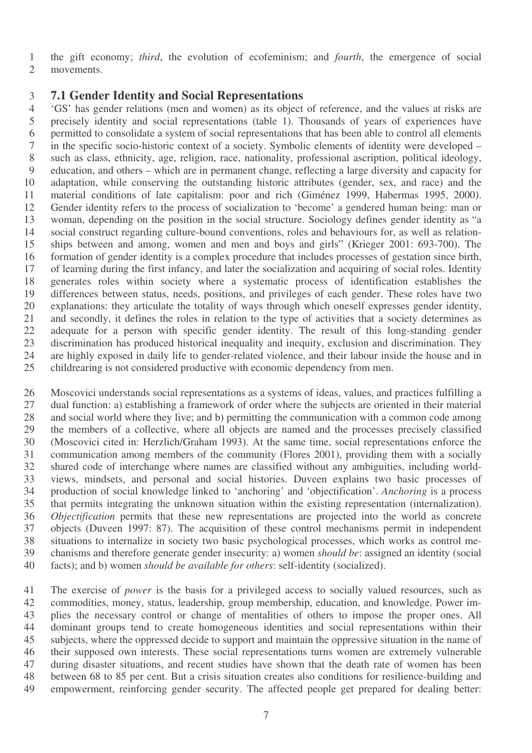the gift economy; *third*, the evolution of ecofeminism; and *fourth*, the emergence of social movements.

#### **7.1 Gender Identity and Social Representations**

 'GS' has gender relations (men and women) as its object of reference, and the values at risks are precisely identity and social representations (table 1). Thousands of years of experiences have permitted to consolidate a system of social representations that has been able to control all elements in the specific socio-historic context of a society. Symbolic elements of identity were developed – such as class, ethnicity, age, religion, race, nationality, professional ascription, political ideology, education, and others – which are in permanent change, reflecting a large diversity and capacity for adaptation, while conserving the outstanding historic attributes (gender, sex, and race) and the material conditions of late capitalism: poor and rich (Giménez 1999, Habermas 1995, 2000). Gender identity refers to the process of socialization to 'become' a gendered human being: man or woman, depending on the position in the social structure. Sociology defines gender identity as "a social construct regarding culture-bound conventions, roles and behaviours for, as well as relation- ships between and among, women and men and boys and girls" (Krieger 2001: 693-700). The formation of gender identity is a complex procedure that includes processes of gestation since birth, of learning during the first infancy, and later the socialization and acquiring of social roles. Identity generates roles within society where a systematic process of identification establishes the differences between status, needs, positions, and privileges of each gender. These roles have two explanations: they articulate the totality of ways through which oneself expresses gender identity, and secondly, it defines the roles in relation to the type of activities that a society determines as adequate for a person with specific gender identity. The result of this long-standing gender discrimination has produced historical inequality and inequity, exclusion and discrimination. They are highly exposed in daily life to gender-related violence, and their labour inside the house and in childrearing is not considered productive with economic dependency from men.

 Moscovici understands social representations as a systems of ideas, values, and practices fulfilling a dual function: a) establishing a framework of order where the subjects are oriented in their material and social world where they live; and b) permitting the communication with a common code among the members of a collective, where all objects are named and the processes precisely classified (Moscovici cited in: Herzlich/Graham 1993). At the same time, social representations enforce the communication among members of the community (Flores 2001), providing them with a socially shared code of interchange where names are classified without any ambiguities, including world- views, mindsets, and personal and social histories. Duveen explains two basic processes of production of social knowledge linked to 'anchoring' and 'objectification'. *Anchoring* is a process that permits integrating the unknown situation within the existing representation (internalization). *Objectification* permits that these new representations are projected into the world as concrete objects (Duveen 1997: 87). The acquisition of these control mechanisms permit in independent situations to internalize in society two basic psychological processes, which works as control me- chanisms and therefore generate gender insecurity: a) women *should be*: assigned an identity (social facts); and b) women *should be available for others*: self-identity (socialized).

 The exercise of *power* is the basis for a privileged access to socially valued resources, such as commodities, money, status, leadership, group membership, education, and knowledge. Power im- plies the necessary control or change of mentalities of others to impose the proper ones. All dominant groups tend to create homogeneous identities and social representations within their subjects, where the oppressed decide to support and maintain the oppressive situation in the name of their supposed own interests. These social representations turns women are extremely vulnerable during disaster situations, and recent studies have shown that the death rate of women has been between 68 to 85 per cent. But a crisis situation creates also conditions for resilience-building and empowerment, reinforcing gender security. The affected people get prepared for dealing better: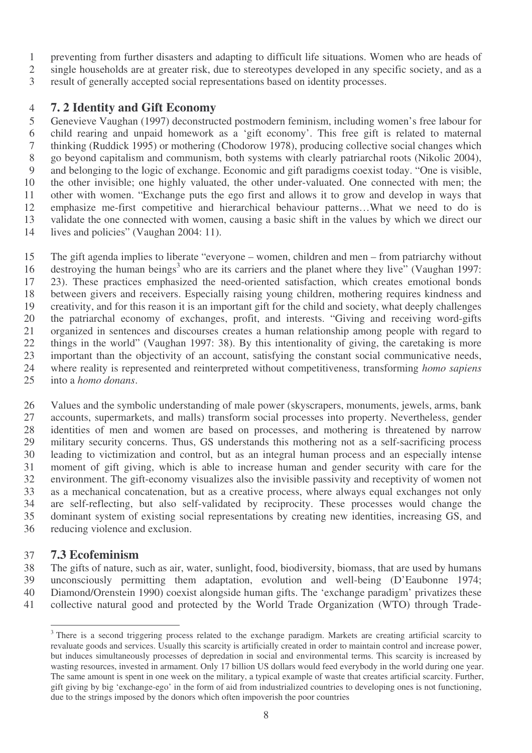- preventing from further disasters and adapting to difficult life situations. Women who are heads of
- single households are at greater risk, due to stereotypes developed in any specific society, and as a
- result of generally accepted social representations based on identity processes.

#### **7. 2 Identity and Gift Economy**

 Genevieve Vaughan (1997) deconstructed postmodern feminism, including women's free labour for child rearing and unpaid homework as a 'gift economy'. This free gift is related to maternal thinking (Ruddick 1995) or mothering (Chodorow 1978), producing collective social changes which go beyond capitalism and communism, both systems with clearly patriarchal roots (Nikolic 2004), and belonging to the logic of exchange. Economic and gift paradigms coexist today. "One is visible, the other invisible; one highly valuated, the other under-valuated. One connected with men; the other with women. "Exchange puts the ego first and allows it to grow and develop in ways that emphasize me-first competitive and hierarchical behaviour patterns…What we need to do is validate the one connected with women, causing a basic shift in the values by which we direct our 14 lives and policies" (Vaughan 2004: 11).

 The gift agenda implies to liberate "everyone – women, children and men – from patriarchy without 16 destroying the human beings<sup>3</sup> who are its carriers and the planet where they live" (Vaughan 1997: 23). These practices emphasized the need-oriented satisfaction, which creates emotional bonds between givers and receivers. Especially raising young children, mothering requires kindness and creativity, and for this reason it is an important gift for the child and society, what deeply challenges the patriarchal economy of exchanges, profit, and interests. "Giving and receiving word-gifts organized in sentences and discourses creates a human relationship among people with regard to things in the world" (Vaughan 1997: 38). By this intentionality of giving, the caretaking is more important than the objectivity of an account, satisfying the constant social communicative needs, where reality is represented and reinterpreted without competitiveness, transforming *homo sapiens* into a *homo donans*.

 Values and the symbolic understanding of male power (skyscrapers, monuments, jewels, arms, bank accounts, supermarkets, and malls) transform social processes into property. Nevertheless, gender identities of men and women are based on processes, and mothering is threatened by narrow military security concerns. Thus, GS understands this mothering not as a self-sacrificing process leading to victimization and control, but as an integral human process and an especially intense moment of gift giving, which is able to increase human and gender security with care for the environment. The gift-economy visualizes also the invisible passivity and receptivity of women not as a mechanical concatenation, but as a creative process, where always equal exchanges not only are self-reflecting, but also self-validated by reciprocity. These processes would change the dominant system of existing social representations by creating new identities, increasing GS, and reducing violence and exclusion.

#### **7.3 Ecofeminism**

 The gifts of nature, such as air, water, sunlight, food, biodiversity, biomass, that are used by humans unconsciously permitting them adaptation, evolution and well-being (D'Eaubonne 1974; Diamond/Orenstein 1990) coexist alongside human gifts. The 'exchange paradigm' privatizes these collective natural good and protected by the World Trade Organization (WTO) through Trade-

<sup>&</sup>lt;sup>3</sup> There is a second triggering process related to the exchange paradigm. Markets are creating artificial scarcity to revaluate goods and services. Usually this scarcity is artificially created in order to maintain control and increase power, but induces simultaneously processes of depredation in social and environmental terms. This scarcity is increased by wasting resources, invested in armament. Only 17 billion US dollars would feed everybody in the world during one year. The same amount is spent in one week on the military, a typical example of waste that creates artificial scarcity. Further, gift giving by big 'exchange-ego' in the form of aid from industrialized countries to developing ones is not functioning, due to the strings imposed by the donors which often impoverish the poor countries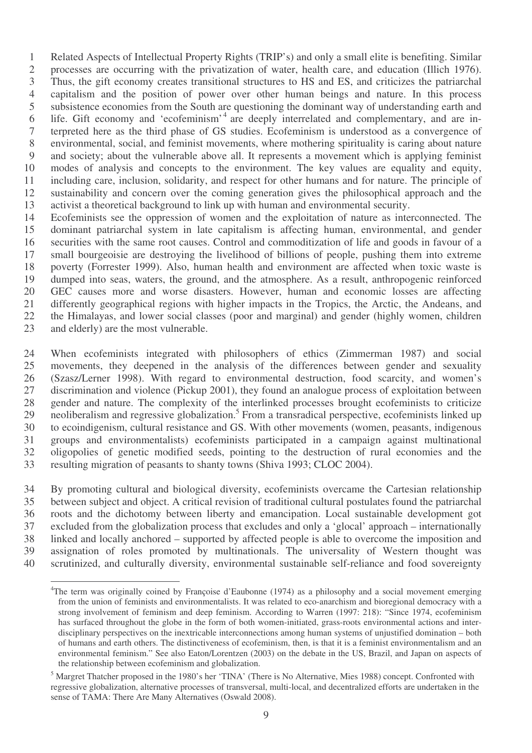Related Aspects of Intellectual Property Rights (TRIP's) and only a small elite is benefiting. Similar processes are occurring with the privatization of water, health care, and education (Illich 1976). Thus, the gift economy creates transitional structures to HS and ES, and criticizes the patriarchal capitalism and the position of power over other human beings and nature. In this process subsistence economies from the South are questioning the dominant way of understanding earth and 6 life. Gift economy and 'ecofeminism'<sup>4</sup> are deeply interrelated and complementary, and are in- terpreted here as the third phase of GS studies. Ecofeminism is understood as a convergence of environmental, social, and feminist movements, where mothering spirituality is caring about nature and society; about the vulnerable above all. It represents a movement which is applying feminist modes of analysis and concepts to the environment. The key values are equality and equity, including care, inclusion, solidarity, and respect for other humans and for nature. The principle of sustainability and concern over the coming generation gives the philosophical approach and the activist a theoretical background to link up with human and environmental security.

 Ecofeminists see the oppression of women and the exploitation of nature as interconnected. The dominant patriarchal system in late capitalism is affecting human, environmental, and gender securities with the same root causes. Control and commoditization of life and goods in favour of a small bourgeoisie are destroying the livelihood of billions of people, pushing them into extreme poverty (Forrester 1999). Also, human health and environment are affected when toxic waste is dumped into seas, waters, the ground, and the atmosphere. As a result, anthropogenic reinforced GEC causes more and worse disasters. However, human and economic losses are affecting differently geographical regions with higher impacts in the Tropics, the Arctic, the Andeans, and the Himalayas, and lower social classes (poor and marginal) and gender (highly women, children and elderly) are the most vulnerable.

 When ecofeminists integrated with philosophers of ethics (Zimmerman 1987) and social movements, they deepened in the analysis of the differences between gender and sexuality (Szasz/Lerner 1998). With regard to environmental destruction, food scarcity, and women's discrimination and violence (Pickup 2001), they found an analogue process of exploitation between gender and nature. The complexity of the interlinked processes brought ecofeminists to criticize 29 neoliberalism and regressive globalization.<sup>5</sup> From a transradical perspective, ecofeminists linked up to ecoindigenism, cultural resistance and GS. With other movements (women, peasants, indigenous groups and environmentalists) ecofeminists participated in a campaign against multinational oligopolies of genetic modified seeds, pointing to the destruction of rural economies and the resulting migration of peasants to shanty towns (Shiva 1993; CLOC 2004).

 By promoting cultural and biological diversity, ecofeminists overcame the Cartesian relationship between subject and object. A critical revision of traditional cultural postulates found the patriarchal roots and the dichotomy between liberty and emancipation. Local sustainable development got excluded from the globalization process that excludes and only a 'glocal' approach – internationally linked and locally anchored – supported by affected people is able to overcome the imposition and assignation of roles promoted by multinationals. The universality of Western thought was scrutinized, and culturally diversity, environmental sustainable self-reliance and food sovereignty

<sup>&</sup>lt;sup>4</sup>The term was originally coined by Françoise d'Eaubonne (1974) as a philosophy and a social movement emerging from the union of feminists and environmentalists. It was related to eco-anarchism and bioregional democracy with a strong involvement of feminism and deep feminism. According to Warren (1997: 218): "Since 1974, ecofeminism has surfaced throughout the globe in the form of both women-initiated, grass-roots environmental actions and interdisciplinary perspectives on the inextricable interconnections among human systems of unjustified domination – both of humans and earth others. The distinctiveness of ecofeminism, then, is that it is a feminist environmentalism and an environmental feminism." See also Eaton/Lorentzen (2003) on the debate in the US, Brazil, and Japan on aspects of the relationship between ecofeminism and globalization.

 Margret Thatcher proposed in the 1980's her 'TINA' (There is No Alternative, Mies 1988) concept. Confronted with regressive globalization, alternative processes of transversal, multi-local, and decentralized efforts are undertaken in the sense of TAMA: There Are Many Alternatives (Oswald 2008).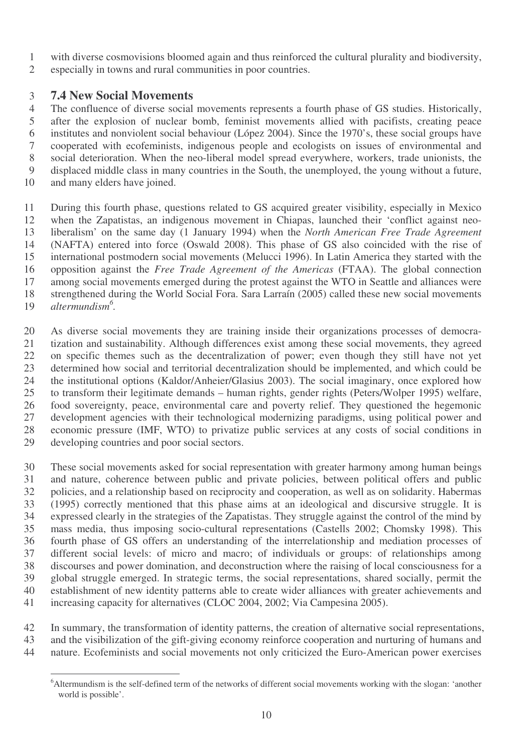- with diverse cosmovisions bloomed again and thus reinforced the cultural plurality and biodiversity,
- especially in towns and rural communities in poor countries.

#### **7.4 New Social Movements**

 The confluence of diverse social movements represents a fourth phase of GS studies. Historically, after the explosion of nuclear bomb, feminist movements allied with pacifists, creating peace institutes and nonviolent social behaviour (López 2004). Since the 1970's, these social groups have cooperated with ecofeminists, indigenous people and ecologists on issues of environmental and social deterioration. When the neo-liberal model spread everywhere, workers, trade unionists, the displaced middle class in many countries in the South, the unemployed, the young without a future,

and many elders have joined.

 During this fourth phase, questions related to GS acquired greater visibility, especially in Mexico when the Zapatistas, an indigenous movement in Chiapas, launched their 'conflict against neo- liberalism' on the same day (1 January 1994) when the *North American Free Trade Agreement* (NAFTA) entered into force (Oswald 2008). This phase of GS also coincided with the rise of international postmodern social movements (Melucci 1996). In Latin America they started with the opposition against the *Free Trade Agreement of the Americas* (FTAA). The global connection among social movements emerged during the protest against the WTO in Seattle and alliances were strengthened during the World Social Fora. Sara Larraín (2005) called these new social movements *altermundism 6 .*

 As diverse social movements they are training inside their organizations processes of democra- tization and sustainability. Although differences exist among these social movements, they agreed on specific themes such as the decentralization of power; even though they still have not yet determined how social and territorial decentralization should be implemented, and which could be the institutional options (Kaldor/Anheier/Glasius 2003). The social imaginary, once explored how to transform their legitimate demands – human rights, gender rights (Peters/Wolper 1995) welfare, food sovereignty, peace, environmental care and poverty relief. They questioned the hegemonic development agencies with their technological modernizing paradigms, using political power and economic pressure (IMF, WTO) to privatize public services at any costs of social conditions in developing countries and poor social sectors.

 These social movements asked for social representation with greater harmony among human beings and nature, coherence between public and private policies, between political offers and public policies, and a relationship based on reciprocity and cooperation, as well as on solidarity. Habermas (1995) correctly mentioned that this phase aims at an ideological and discursive struggle. It is expressed clearly in the strategies of the Zapatistas. They struggle against the control of the mind by mass media, thus imposing socio-cultural representations (Castells 2002; Chomsky 1998). This fourth phase of GS offers an understanding of the interrelationship and mediation processes of different social levels: of micro and macro; of individuals or groups: of relationships among discourses and power domination, and deconstruction where the raising of local consciousness for a global struggle emerged. In strategic terms, the social representations, shared socially, permit the establishment of new identity patterns able to create wider alliances with greater achievements and increasing capacity for alternatives (CLOC 2004, 2002; Via Campesina 2005).

In summary, the transformation of identity patterns, the creation of alternative social representations,

and the visibilization of the gift-giving economy reinforce cooperation and nurturing of humans and

nature. Ecofeminists and social movements not only criticized the Euro-American power exercises

<sup>&</sup>lt;sup>6</sup>Altermundism is the self-defined term of the networks of different social movements working with the slogan: 'another world is possible'.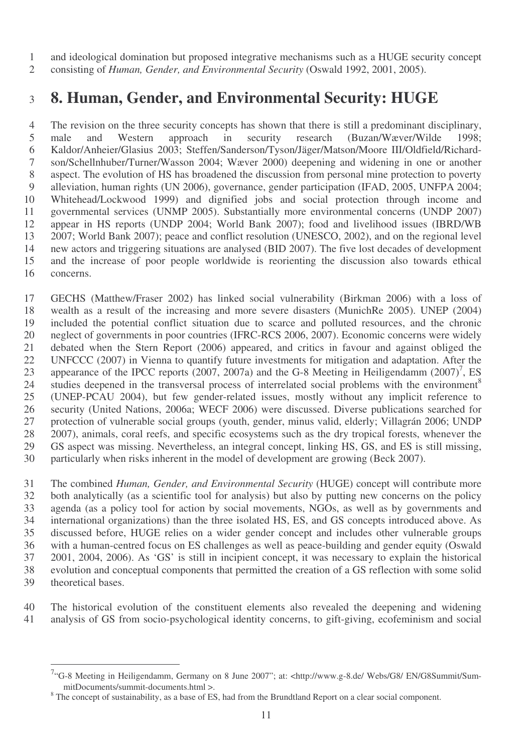and ideological domination but proposed integrative mechanisms such as a HUGE security concept

consisting of *Human, Gender, and Environmental Security* (Oswald 1992, 2001, 2005).

## **8. Human, Gender, and Environmental Security: HUGE**

 The revision on the three security concepts has shown that there is still a predominant disciplinary, male and Western approach in security research (Buzan/Wæver/Wilde 1998; Kaldor/Anheier/Glasius 2003; Steffen/Sanderson/Tyson/Jäger/Matson/Moore III/Oldfield/Richard- son/Schellnhuber/Turner/Wasson 2004; Wæver 2000) deepening and widening in one or another aspect. The evolution of HS has broadened the discussion from personal mine protection to poverty alleviation, human rights (UN 2006), governance, gender participation (IFAD, 2005, UNFPA 2004; Whitehead/Lockwood 1999) and dignified jobs and social protection through income and governmental services (UNMP 2005). Substantially more environmental concerns (UNDP 2007) appear in HS reports (UNDP 2004; World Bank 2007); food and livelihood issues (IBRD/WB 2007; World Bank 2007); peace and conflict resolution (UNESCO, 2002), and on the regional level new actors and triggering situations are analysed (BID 2007). The five lost decades of development and the increase of poor people worldwide is reorienting the discussion also towards ethical concerns.

 GECHS (Matthew/Fraser 2002) has linked social vulnerability (Birkman 2006) with a loss of wealth as a result of the increasing and more severe disasters (MunichRe 2005). UNEP (2004) included the potential conflict situation due to scarce and polluted resources, and the chronic neglect of governments in poor countries (IFRC-RCS 2006, 2007). Economic concerns were widely debated when the Stern Report (2006) appeared, and critics in favour and against obliged the UNFCCC (2007) in Vienna to quantify future investments for mitigation and adaptation. After the 23 appearance of the IPCC reports  $(2007, 2007a)$  and the G-8 Meeting in Heiligendamm  $(2007)^7$ , ES studies deepened in the transversal process of interrelated social problems with the environment<sup>8</sup> (UNEP-PCAU 2004), but few gender-related issues, mostly without any implicit reference to security (United Nations, 2006a; WECF 2006) were discussed. Diverse publications searched for protection of vulnerable social groups (youth, gender, minus valid, elderly; Villagrán 2006; UNDP 28 2007), animals, coral reefs, and specific ecosystems such as the dry tropical forests, whenever the GS aspect was missing. Nevertheless, an integral concept. linking HS, GS, and ES is still missing. GS aspect was missing. Nevertheless, an integral concept, linking HS, GS, and ES is still missing, particularly when risks inherent in the model of development are growing (Beck 2007).

 The combined *Human, Gender, and Environmental Security* (HUGE) concept will contribute more both analytically (as a scientific tool for analysis) but also by putting new concerns on the policy agenda (as a policy tool for action by social movements, NGOs, as well as by governments and international organizations) than the three isolated HS, ES, and GS concepts introduced above. As discussed before, HUGE relies on a wider gender concept and includes other vulnerable groups with a human-centred focus on ES challenges as well as peace-building and gender equity (Oswald 2001, 2004, 2006). As 'GS' is still in incipient concept, it was necessary to explain the historical evolution and conceptual components that permitted the creation of a GS reflection with some solid theoretical bases.

 The historical evolution of the constituent elements also revealed the deepening and widening analysis of GS from socio-psychological identity concerns, to gift-giving, ecofeminism and social

<sup>&</sup>lt;sup>7</sup>"G-8 Meeting in Heiligendamm, Germany on 8 June 2007"; at: <http://www.g-8.de/ Webs/G8/ EN/G8Summit/SummitDocuments/summit-documents.html >.

<sup>&</sup>lt;sup>8</sup> The concept of sustainability, as a base of ES, had from the Brundtland Report on a clear social component.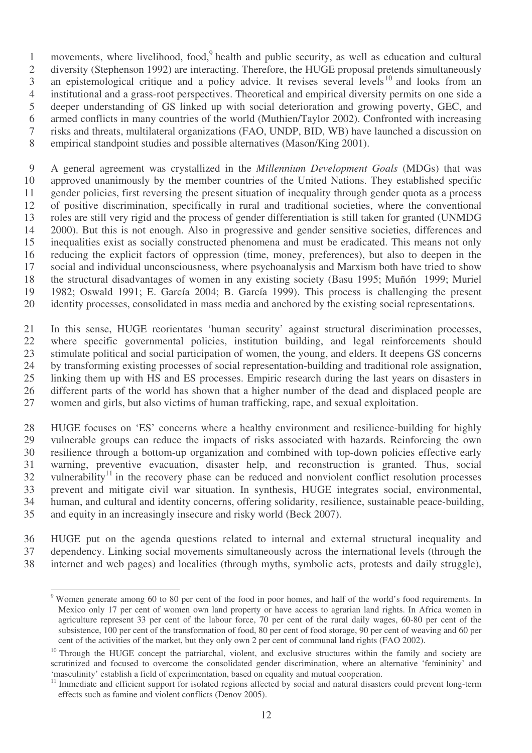1 movements, where livelihood, food,<sup>9</sup> health and public security, as well as education and cultural diversity (Stephenson 1992) are interacting. Therefore, the HUGE proposal pretends simultaneously 3 an epistemological critique and a policy advice. It revises several levels<sup>10</sup> and looks from an institutional and a grass-root perspectives. Theoretical and empirical diversity permits on one side a deeper understanding of GS linked up with social deterioration and growing poverty, GEC, and armed conflicts in many countries of the world (Muthien/Taylor 2002). Confronted with increasing risks and threats, multilateral organizations (FAO, UNDP, BID, WB) have launched a discussion on empirical standpoint studies and possible alternatives (Mason/King 2001).

 A general agreement was crystallized in the *Millennium Development Goals* (MDGs) that was approved unanimously by the member countries of the United Nations. They established specific gender policies, first reversing the present situation of inequality through gender quota as a process of positive discrimination, specifically in rural and traditional societies, where the conventional roles are still very rigid and the process of gender differentiation is still taken for granted (UNMDG 2000). But this is not enough. Also in progressive and gender sensitive societies, differences and inequalities exist as socially constructed phenomena and must be eradicated. This means not only reducing the explicit factors of oppression (time, money, preferences), but also to deepen in the social and individual unconsciousness, where psychoanalysis and Marxism both have tried to show the structural disadvantages of women in any existing society (Basu 1995; Muñón 1999; Muriel 1982; Oswald 1991; E. García 2004; B. García 1999). This process is challenging the present identity processes, consolidated in mass media and anchored by the existing social representations.

 In this sense, HUGE reorientates 'human security' against structural discrimination processes, where specific governmental policies, institution building, and legal reinforcements should stimulate political and social participation of women, the young, and elders. It deepens GS concerns by transforming existing processes of social representation-building and traditional role assignation, linking them up with HS and ES processes. Empiric research during the last years on disasters in different parts of the world has shown that a higher number of the dead and displaced people are women and girls, but also victims of human trafficking, rape, and sexual exploitation.

 HUGE focuses on 'ES' concerns where a healthy environment and resilience-building for highly vulnerable groups can reduce the impacts of risks associated with hazards. Reinforcing the own resilience through a bottom-up organization and combined with top-down policies effective early warning, preventive evacuation, disaster help, and reconstruction is granted. Thus, social 32 vulnerability in the recovery phase can be reduced and nonviolent conflict resolution processes prevent and mitigate civil war situation. In synthesis, HUGE integrates social, environmental, human, and cultural and identity concerns, offering solidarity, resilience, sustainable peace-building, and equity in an increasingly insecure and risky world (Beck 2007).

 HUGE put on the agenda questions related to internal and external structural inequality and dependency. Linking social movements simultaneously across the international levels (through the internet and web pages) and localities (through myths, symbolic acts, protests and daily struggle),

 Women generate among 60 to 80 per cent of the food in poor homes, and half of the world's food requirements. In Mexico only 17 per cent of women own land property or have access to agrarian land rights. In Africa women in agriculture represent 33 per cent of the labour force, 70 per cent of the rural daily wages, 60-80 per cent of the subsistence, 100 per cent of the transformation of food, 80 per cent of food storage, 90 per cent of weaving and 60 per cent of the activities of the market, but they only own 2 per cent of communal land rights (FAO 2002).

<sup>&</sup>lt;sup>10</sup> Through the HUGE concept the patriarchal, violent, and exclusive structures within the family and society are scrutinized and focused to overcome the consolidated gender discrimination, where an alternative 'femininity' and 'masculinity' establish a field of experimentation, based on equality and mutual cooperation.

<sup>&</sup>lt;sup>11</sup> Immediate and efficient support for isolated regions affected by social and natural disasters could prevent long-term effects such as famine and violent conflicts (Denov 2005).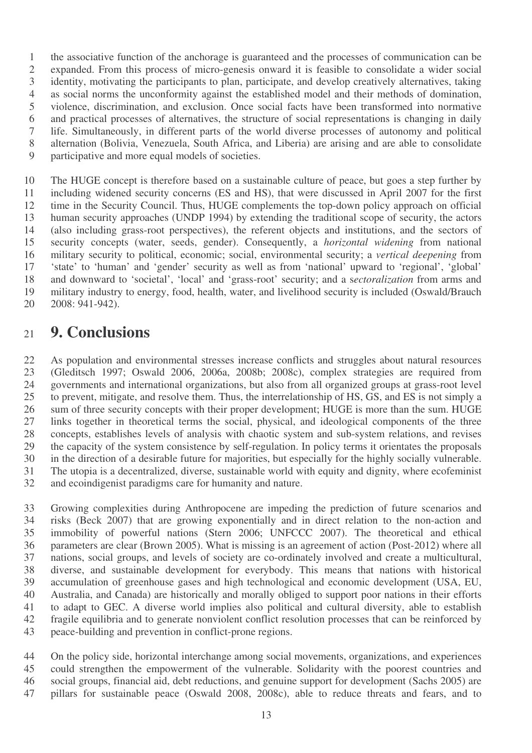the associative function of the anchorage is guaranteed and the processes of communication can be expanded. From this process of micro-genesis onward it is feasible to consolidate a wider social identity, motivating the participants to plan, participate, and develop creatively alternatives, taking as social norms the unconformity against the established model and their methods of domination, violence, discrimination, and exclusion. Once social facts have been transformed into normative and practical processes of alternatives, the structure of social representations is changing in daily life. Simultaneously, in different parts of the world diverse processes of autonomy and political alternation (Bolivia, Venezuela, South Africa, and Liberia) are arising and are able to consolidate participative and more equal models of societies.

 The HUGE concept is therefore based on a sustainable culture of peace, but goes a step further by including widened security concerns (ES and HS), that were discussed in April 2007 for the first time in the Security Council. Thus, HUGE complements the top-down policy approach on official human security approaches (UNDP 1994) by extending the traditional scope of security, the actors (also including grass-root perspectives), the referent objects and institutions, and the sectors of security concepts (water, seeds, gender). Consequently, a *horizontal widening* from national military security to political, economic; social, environmental security; a *vertical deepening* from 'state' to 'human' and 'gender' security as well as from 'national' upward to 'regional', 'global' and downward to 'societal', 'local' and 'grass-root' security; and a s*ectoralization* from arms and military industry to energy, food, health, water, and livelihood security is included (Oswald/Brauch 2008: 941-942).

### **9. Conclusions**

 As population and environmental stresses increase conflicts and struggles about natural resources (Gleditsch 1997; Oswald 2006, 2006a, 2008b; 2008c), complex strategies are required from governments and international organizations, but also from all organized groups at grass-root level to prevent, mitigate, and resolve them. Thus, the interrelationship of HS, GS, and ES is not simply a sum of three security concepts with their proper development; HUGE is more than the sum. HUGE links together in theoretical terms the social, physical, and ideological components of the three 28 concepts, establishes levels of analysis with chaotic system and sub-system relations, and revises<br>29 the capacity of the system consistence by self-regulation. In policy terms it orientates the proposals the capacity of the system consistence by self-regulation. In policy terms it orientates the proposals in the direction of a desirable future for majorities, but especially for the highly socially vulnerable. The utopia is a decentralized, diverse, sustainable world with equity and dignity, where ecofeminist and ecoindigenist paradigms care for humanity and nature.

 Growing complexities during Anthropocene are impeding the prediction of future scenarios and risks (Beck 2007) that are growing exponentially and in direct relation to the non-action and immobility of powerful nations (Stern 2006; UNFCCC 2007). The theoretical and ethical parameters are clear (Brown 2005). What is missing is an agreement of action (Post-2012) where all nations, social groups, and levels of society are co-ordinately involved and create a multicultural, diverse, and sustainable development for everybody. This means that nations with historical accumulation of greenhouse gases and high technological and economic development (USA, EU, Australia, and Canada) are historically and morally obliged to support poor nations in their efforts to adapt to GEC. A diverse world implies also political and cultural diversity, able to establish fragile equilibria and to generate nonviolent conflict resolution processes that can be reinforced by peace-building and prevention in conflict-prone regions.

 On the policy side, horizontal interchange among social movements, organizations, and experiences could strengthen the empowerment of the vulnerable. Solidarity with the poorest countries and social groups, financial aid, debt reductions, and genuine support for development (Sachs 2005) are pillars for sustainable peace (Oswald 2008, 2008c), able to reduce threats and fears, and to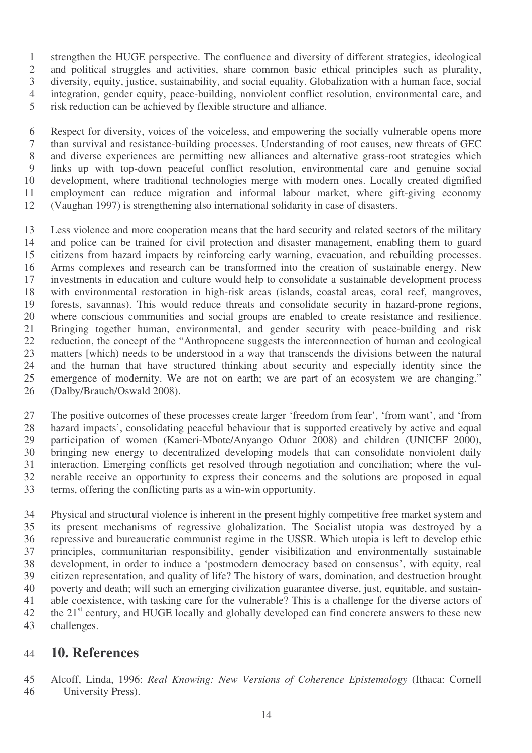strengthen the HUGE perspective. The confluence and diversity of different strategies, ideological and political struggles and activities, share common basic ethical principles such as plurality, diversity, equity, justice, sustainability, and social equality. Globalization with a human face, social integration, gender equity, peace-building, nonviolent conflict resolution, environmental care, and risk reduction can be achieved by flexible structure and alliance.

 Respect for diversity, voices of the voiceless, and empowering the socially vulnerable opens more than survival and resistance-building processes. Understanding of root causes, new threats of GEC and diverse experiences are permitting new alliances and alternative grass-root strategies which links up with top-down peaceful conflict resolution, environmental care and genuine social development, where traditional technologies merge with modern ones. Locally created dignified employment can reduce migration and informal labour market, where gift-giving economy (Vaughan 1997) is strengthening also international solidarity in case of disasters.

 Less violence and more cooperation means that the hard security and related sectors of the military and police can be trained for civil protection and disaster management, enabling them to guard citizens from hazard impacts by reinforcing early warning, evacuation, and rebuilding processes. Arms complexes and research can be transformed into the creation of sustainable energy. New investments in education and culture would help to consolidate a sustainable development process with environmental restoration in high-risk areas (islands, coastal areas, coral reef, mangroves, forests, savannas). This would reduce threats and consolidate security in hazard-prone regions, where conscious communities and social groups are enabled to create resistance and resilience. 21 Bringing together human, environmental, and gender security with peace-building and risk<br>22 reduction, the concept of the "Anthropocene suggests the interconnection of human and ecological reduction, the concept of the "Anthropocene suggests the interconnection of human and ecological matters [which) needs to be understood in a way that transcends the divisions between the natural and the human that have structured thinking about security and especially identity since the emergence of modernity. We are not on earth; we are part of an ecosystem we are changing." (Dalby/Brauch/Oswald 2008).

 The positive outcomes of these processes create larger 'freedom from fear', 'from want', and 'from hazard impacts', consolidating peaceful behaviour that is supported creatively by active and equal participation of women (Kameri-Mbote/Anyango Oduor 2008) and children (UNICEF 2000), bringing new energy to decentralized developing models that can consolidate nonviolent daily interaction. Emerging conflicts get resolved through negotiation and conciliation; where the vul- nerable receive an opportunity to express their concerns and the solutions are proposed in equal terms, offering the conflicting parts as a win-win opportunity.

 Physical and structural violence is inherent in the present highly competitive free market system and its present mechanisms of regressive globalization. The Socialist utopia was destroyed by a repressive and bureaucratic communist regime in the USSR. Which utopia is left to develop ethic principles, communitarian responsibility, gender visibilization and environmentally sustainable development, in order to induce a 'postmodern democracy based on consensus', with equity, real citizen representation, and quality of life? The history of wars, domination, and destruction brought poverty and death; will such an emerging civilization guarantee diverse, just, equitable, and sustain- able coexistence, with tasking care for the vulnerable? This is a challenge for the diverse actors of 42 the 21<sup>st</sup> century, and HUGE locally and globally developed can find concrete answers to these new challenges.

#### **10. References**

 Alcoff, Linda, 1996: *Real Knowing: New Versions of Coherence Epistemology* (Ithaca: Cornell University Press).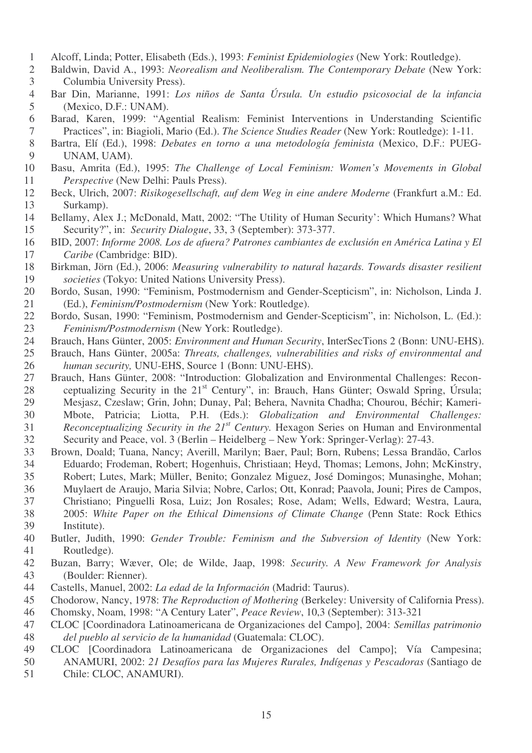- Alcoff, Linda; Potter, Elisabeth (Eds.), 1993: *Feminist Epidemiologies* (New York: Routledge).
- Baldwin, David A., 1993: *Neorealism and Neoliberalism. The Contemporary Debate* (New York: Columbia University Press).
- Bar Din, Marianne, 1991: *Los niños de Santa Úrsula. Un estudio psicosocial de la infancia* (Mexico, D.F.: UNAM).
- Barad, Karen, 1999: "Agential Realism: Feminist Interventions in Understanding Scientific Practices", in: Biagioli, Mario (Ed.). *The Science Studies Reader* (New York: Routledge): 1-11.
- Bartra, Elí (Ed.), 1998: *Debates en torno a una metodología feminista* (Mexico, D.F.: PUEG-UNAM, UAM).
- Basu, Amrita (Ed.), 1995: *The Challenge of Local Feminism: Women's Movements in Global Perspective* (New Delhi: Pauls Press).
- Beck, Ulrich, 2007: *Risikogesellschaft, auf dem Weg in eine andere Moderne* (Frankfurt a.M.: Ed. Surkamp).
- Bellamy, Alex J.; McDonald, Matt, 2002: "The Utility of Human Security': Which Humans? What Security?", in: *Security Dialogue*, 33, 3 (September): 373-377.
- BID, 2007: *Informe 2008. Los de afuera? Patrones cambiantes de exclusión en América Latina y El Caribe* (Cambridge: BID).
- Birkman, Jörn (Ed.), 2006: *Measuring vulnerability to natural hazards. Towards disaster resilient societies* (Tokyo: United Nations University Press).
- Bordo, Susan, 1990: "Feminism, Postmodernism and Gender-Scepticism", in: Nicholson, Linda J. (Ed.), *Feminism/Postmodernism* (New York: Routledge).
- Bordo, Susan, 1990: "Feminism, Postmodernism and Gender-Scepticism", in: Nicholson, L. (Ed.): *Feminism/Postmodernism* (New York: Routledge).
- Brauch, Hans Günter, 2005: *Environment and Human Security*, InterSecTions 2 (Bonn: UNU-EHS).
- Brauch, Hans Günter, 2005a: *Threats, challenges, vulnerabilities and risks of environmental and human security,* UNU-EHS, Source 1 (Bonn: UNU-EHS).
- Brauch, Hans Günter, 2008: "Introduction: Globalization and Environmental Challenges: Recon-28 ceptualizing Security in the 21<sup>st</sup> Century", in: Brauch, Hans Günter; Oswald Spring, Úrsula; Mesjasz, Czeslaw; Grin, John; Dunay, Pal; Behera, Navnita Chadha; Chourou, Béchir; Kameri- Mbote, Patricia; Liotta, P.H. (Eds.): *Globalization and Environmental Challenges: Reconceptualizing Security in the 21 st Century.* Hexagon Series on Human and Environmental Security and Peace, vol. 3 (Berlin – Heidelberg – New York: Springer-Verlag): 27-43.
- Brown, Doald; Tuana, Nancy; Averill, Marilyn; Baer, Paul; Born, Rubens; Lessa Brandão, Carlos Eduardo; Frodeman, Robert; Hogenhuis, Christiaan; Heyd, Thomas; Lemons, John; McKinstry, Robert; Lutes, Mark; Müller, Benito; Gonzalez Miguez, José Domingos; Munasinghe, Mohan; Muylaert de Araujo, Maria Silvia; Nobre, Carlos; Ott, Konrad; Paavola, Jouni; Pires de Campos,
- Christiano; Pinguelli Rosa, Luiz; Jon Rosales; Rose, Adam; Wells, Edward; Westra, Laura,
- 2005: *White Paper on the Ethical Dimensions of Climate Change* (Penn State: Rock Ethics Institute).
- Butler, Judith, 1990: *Gender Trouble: Feminism and the Subversion of Identity* (New York: Routledge).
- Buzan, Barry; Wæver, Ole; de Wilde, Jaap, 1998: *Security. A New Framework for Analysis* (Boulder: Rienner).
- Castells, Manuel, 2002: *La edad de la Información* (Madrid: Taurus).
- Chodorow, Nancy, 1978: *The Reproduction of Mothering* (Berkeley: University of California Press).
- Chomsky, Noam, 1998: "A Century Later", *Peace Review*, 10,3 (September): 313-321
- CLOC [Coordinadora Latinoamericana de Organizaciones del Campo], 2004: *Semillas patrimonio del pueblo al servicio de la humanidad* (Guatemala: CLOC).
- CLOC [Coordinadora Latinoamericana de Organizaciones del Campo]; Vía Campesina; ANAMURI, 2002: *21 Desafíos para las Mujeres Rurales, Indígenas y Pescadoras* (Santiago de
- Chile: CLOC, ANAMURI).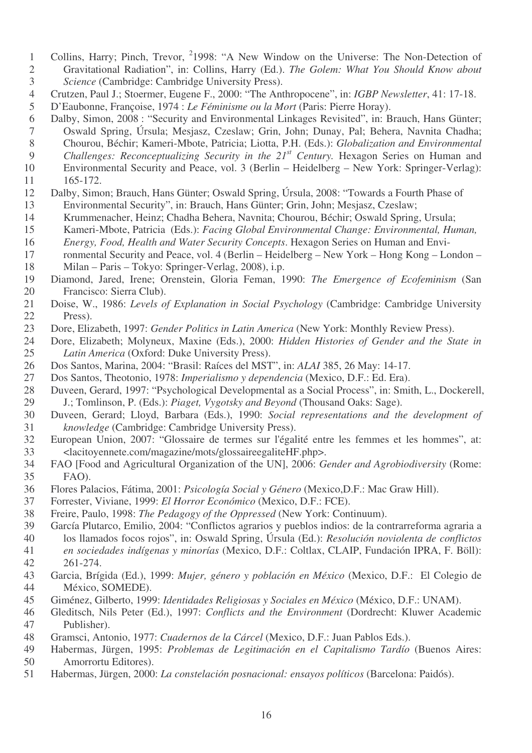- 1 Collins, Harry; Pinch, Trevor, <sup>2</sup>1998: "A New Window on the Universe: The Non-Detection of
- Gravitational Radiation", in: Collins, Harry (Ed.). *The Golem: What You Should Know about Science* (Cambridge: Cambridge University Press).
- Crutzen, Paul J.; Stoermer, Eugene F., 2000: "The Anthropocene", in: *IGBP Newsletter*, 41: 17-18.
- D'Eaubonne, Françoise, 1974 : *Le Féminisme ou la Mort* (Paris: Pierre Horay).
- Dalby, Simon, 2008 : "Security and Environmental Linkages Revisited", in: Brauch, Hans Günter; Oswald Spring, Úrsula; Mesjasz, Czeslaw; Grin, John; Dunay, Pal; Behera, Navnita Chadha;
- Chourou, Béchir; Kameri-Mbote, Patricia; Liotta, P.H. (Eds.): *Globalization and Environmental*
- 9 *Challenges: Reconceptualizing Security in the 21<sup>st</sup> Century. Hexagon Series on Human and* Environmental Security and Peace, vol. 3 (Berlin – Heidelberg – New York: Springer-Verlag):
- 165-172.
- Dalby, Simon; Brauch, Hans Günter; Oswald Spring, Úrsula, 2008: "Towards a Fourth Phase of Environmental Security", in: Brauch, Hans Günter; Grin, John; Mesjasz, Czeslaw;
- Krummenacher, Heinz; Chadha Behera, Navnita; Chourou, Béchir; Oswald Spring, Ursula;
- Kameri-Mbote, Patricia (Eds.): *Facing Global Environmental Change: Environmental, Human,*
- *Energy, Food, Health and Water Security Concepts*. Hexagon Series on Human and Envi-
- ronmental Security and Peace, vol. 4 (Berlin Heidelberg New York Hong Kong London Milan – Paris – Tokyo: Springer-Verlag, 2008), i.p.
- Diamond, Jared, Irene; Orenstein, Gloria Feman, 1990: *The Emergence of Ecofeminism* (San Francisco: Sierra Club).
- Doise, W., 1986: *Levels of Explanation in Social Psychology* (Cambridge: Cambridge University Press).
- Dore, Elizabeth, 1997: *Gender Politics in Latin America* (New York: Monthly Review Press).
- Dore, Elizabeth; Molyneux, Maxine (Eds.), 2000: *Hidden Histories of Gender and the State in Latin America* (Oxford: Duke University Press).
- Dos Santos, Marina, 2004: "Brasil: Raíces del MST", in: *ALAI* 385, 26 May: 14-17.
- Dos Santos, Theotonio, 1978: *Imperialismo y dependencia* (Mexico, D.F.: Ed. Era).
- Duveen, Gerard, 1997: "Psychological Developmental as a Social Process", in: Smith, L., Dockerell, J.; Tomlinson, P. (Eds.): *Piaget, Vygotsky and Beyond* (Thousand Oaks: Sage).
- Duveen, Gerard; Lloyd, Barbara (Eds.), 1990: *Social representations and the development of knowledge* (Cambridge: Cambridge University Press).
- European Union, 2007: "Glossaire de termes sur l'égalité entre les femmes et les hommes", at: <lacitoyennete.com/magazine/mots/glossaireegaliteHF.php>.
- FAO [Food and Agricultural Organization of the UN], 2006: *Gender and Agrobiodiversity* (Rome: FAO).
- Flores Palacios, Fátima, 2001: *Psicología Social y Género* (Mexico,D.F.: Mac Graw Hill).
- Forrester, Viviane, 1999: *El Horror Económico* (Mexico, D.F.: FCE).
- Freire, Paulo, 1998: *The Pedagogy of the Oppressed* (New York: Continuum).
- García Plutarco, Emilio, 2004: "Conflictos agrarios y pueblos indios: de la contrarreforma agraria a los llamados focos rojos", in: Oswald Spring, Úrsula (Ed.): *Resolución noviolenta de conflictos en sociedades indígenas y minorías* (Mexico, D.F.: Coltlax, CLAIP, Fundación IPRA, F. Böll): 261-274.
- Garcia, Brígida (Ed.), 1999: *Mujer, género y población en México* (Mexico, D.F.: El Colegio de México, SOMEDE).
- Giménez, Gilberto, 1999: *Identidades Religiosas y Sociales en México* (México, D.F.: UNAM).
- Gleditsch, Nils Peter (Ed.), 1997: *Conflicts and the Environment* (Dordrecht: Kluwer Academic Publisher).
- Gramsci, Antonio, 1977: *Cuadernos de la Cárcel* (Mexico, D.F.: Juan Pablos Eds.).
- Habermas, Jürgen, 1995: *Problemas de Legitimación en el Capitalismo Tardío* (Buenos Aires: Amorrortu Editores).
- Habermas, Jürgen, 2000: *La constelación posnacional: ensayos políticos* (Barcelona: Paidós).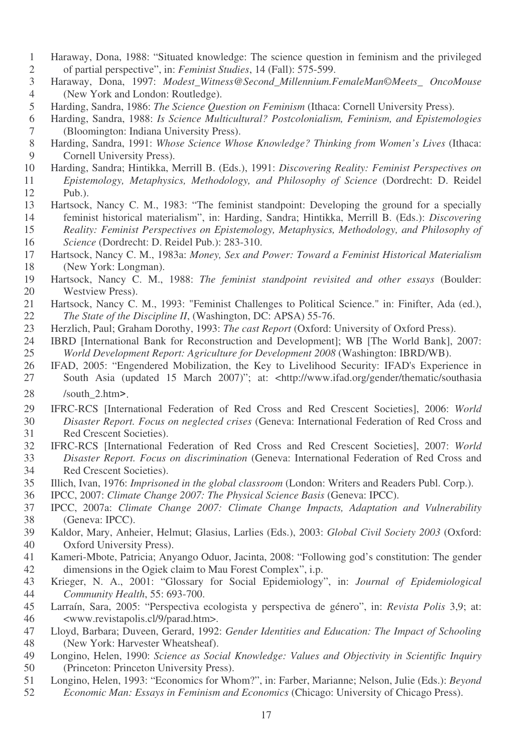- Haraway, Dona, 1988: "Situated knowledge: The science question in feminism and the privileged of partial perspective", in: *Feminist Studies*, 14 (Fall): 575-599.
- Haraway, Dona, 1997: *Modest\_Witness@Second\_Millennium.FemaleMan©Meets\_ OncoMouse* (New York and London: Routledge).
- Harding, Sandra, 1986: *The Science Question on Feminism* (Ithaca: Cornell University Press).
- Harding, Sandra, 1988: *Is Science Multicultural? Postcolonialism, Feminism, and Epistemologies* (Bloomington: Indiana University Press).
- Harding, Sandra, 1991: *Whose Science Whose Knowledge? Thinking from Women's Lives* (Ithaca: Cornell University Press).
- Harding, Sandra; Hintikka, Merrill B. (Eds.), 1991: *Discovering Reality: Feminist Perspectives on Epistemology, Metaphysics, Methodology, and Philosophy of Science* (Dordrecht: D. Reidel Pub.).
- Hartsock, Nancy C. M., 1983: "The feminist standpoint: Developing the ground for a specially feminist historical materialism", in: Harding, Sandra; Hintikka, Merrill B. (Eds.): *Discovering Reality: Feminist Perspectives on Epistemology, Metaphysics, Methodology, and Philosophy of Science* (Dordrecht: D. Reidel Pub.): 283-310.
- Hartsock, Nancy C. M., 1983a: *Money, Sex and Power: Toward a Feminist Historical Materialism* (New York: Longman).
- Hartsock, Nancy C. M., 1988: *The feminist standpoint revisited and other essays* (Boulder: Westview Press).
- Hartsock, Nancy C. M., 1993: "Feminist Challenges to Political Science." in: Finifter, Ada (ed.), *The State of the Discipline II*, (Washington, DC: APSA) 55-76.
- Herzlich, Paul; Graham Dorothy, 1993: *The cast Report* (Oxford: University of Oxford Press).
- IBRD [International Bank for Reconstruction and Development]; WB [The World Bank], 2007: *World Development Report: Agriculture for Development 2008* (Washington: IBRD/WB).
- IFAD, 2005: "Engendered Mobilization, the Key to Livelihood Security: IFAD's Experience in South Asia (updated 15 March 2007)"; at: <http://www.ifad.org/gender/thematic/southasia
- 28 /south\_2.htm>
- IFRC-RCS [International Federation of Red Cross and Red Crescent Societies], 2006: *World Disaster Report. Focus on neglected crises* (Geneva: International Federation of Red Cross and Red Crescent Societies).
- IFRC-RCS [International Federation of Red Cross and Red Crescent Societies], 2007: *World Disaster Report. Focus on discrimination* (Geneva: International Federation of Red Cross and Red Crescent Societies).
- Illich, Ivan, 1976: *Imprisoned in the global classroom* (London: Writers and Readers Publ. Corp.).
- IPCC, 2007: *Climate Change 2007: The Physical Science Basis* (Geneva: IPCC).
- IPCC, 2007a: *Climate Change 2007: Climate Change Impacts, Adaptation and Vulnerability* (Geneva: IPCC).
- Kaldor, Mary, Anheier, Helmut; Glasius, Larlies (Eds.), 2003: *Global Civil Society 2003* (Oxford: Oxford University Press).
- Kameri-Mbote, Patricia; Anyango Oduor, Jacinta, 2008: "Following god's constitution: The gender dimensions in the Ogiek claim to Mau Forest Complex", i.p.
- Krieger, N. A., 2001: "Glossary for Social Epidemiology", in: *Journal of Epidemiological Community Health*, 55: 693-700.
- Larraín, Sara, 2005: "Perspectiva ecologista y perspectiva de género", in: *Revista Polis* 3,9; at: <www.revistapolis.cl/9/parad.htm>.
- Lloyd, Barbara; Duveen, Gerard, 1992: *Gender Identities and Education: The Impact of Schooling* (New York: Harvester Wheatsheaf).
- Longino, Helen, 1990: *Science as Social Knowledge: Values and Objectivity in Scientific Inquiry* (Princeton: Princeton University Press).
- Longino, Helen, 1993: "Economics for Whom?", in: Farber, Marianne; Nelson, Julie (Eds.): *Beyond*
- *Economic Man: Essays in Feminism and Economics* (Chicago: University of Chicago Press).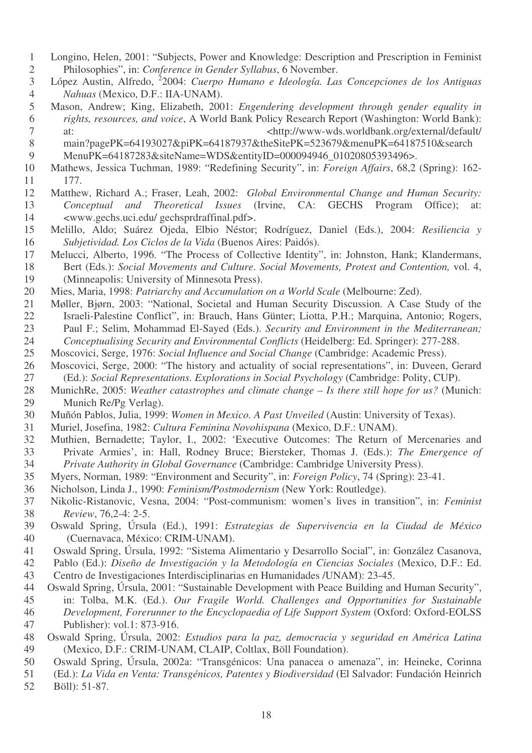- Longino, Helen, 2001: "Subjects, Power and Knowledge: Description and Prescription in Feminist Philosophies", in: *Conference in Gender Syllabus*, 6 November.
- López Austin, Alfredo, 2 2004: *Cuerpo Humano e Ideología. Las Concepciones de los Antiguas Nahuas* (Mexico, D.F.: IIA-UNAM).
- Mason, Andrew; King, Elizabeth, 2001: *Engendering development through gender equality in rights, resources, and voice*, A World Bank Policy Research Report (Washington: World Bank): 7 at:  $\langle \text{http://www-wds.worldbank.org/external/default/}$
- main?pagePK=64193027&piPK=64187937&theSitePK=523679&menuPK=64187510&search 9 MenuPK=64187283&siteName=WDS&entityID=000094946\_01020805393496>.
- Mathews, Jessica Tuchman, 1989: "Redefining Security", in: *Foreign Affairs*, 68,2 (Spring): 162- 177.
- Matthew, Richard A.; Fraser, Leah, 2002: *Global Environmental Change and Human Security: Conceptual and Theoretical Issues* (Irvine, CA: GECHS Program Office); at: <www.gechs.uci.edu/ gechsprdraffinal.pdf>.
- Melillo, Aldo; Suárez Ojeda, Elbio Néstor; Rodríguez, Daniel (Eds.), 2004: *Resiliencia y Subjetividad. Los Ciclos de la Vida* (Buenos Aires: Paidós).
- Melucci, Alberto, 1996. "The Process of Collective Identity", in: Johnston, Hank; Klandermans, Bert (Eds.): *Social Movements and Culture*. *Social Movements, Protest and Contention,* vol. 4, (Minneapolis: University of Minnesota Press).
- Mies, Maria, 1998: *Patriarchy and Accumulation on a World Scale* (Melbourne: Zed).
- Møller, Bjørn, 2003: "National, Societal and Human Security Discussion. A Case Study of the 22 Israeli-Palestine Conflict", in: Brauch, Hans Günter; Liotta, P.H.; Marquina, Antonio; Rogers,<br>23 Paul F.: Selim, Mohammad El-Saved (Eds.), Security and Environment in the Mediterranean: Paul F.; Selim, Mohammad El-Sayed (Eds.). *Security and Environment in the Mediterranean; Conceptualising Security and Environmental Conflicts* (Heidelberg: Ed. Springer): 277-288.
- Moscovici, Serge, 1976: *Social Influence and Social Change* (Cambridge: Academic Press).
- 26 Moscovici, Serge, 2000: "The history and actuality of social representations", in: Duveen, Gerard (Ed.): Social Representations. Explorations in Social Psychology (Cambridge: Polity, CUP). (Ed.): *Social Representations. Explorations in Social Psychology* (Cambridge: Polity, CUP).
- MunichRe, 2005: *Weather catastrophes and climate change – Is there still hope for us?* (Munich: Munich Re/Pg Verlag).
- Muñón Pablos, Julia, 1999: *Women in Mexico. A Past Unveiled* (Austin: University of Texas).
- Muriel, Josefina, 1982: *Cultura Feminina Novohispana* (Mexico, D.F.: UNAM).
- Muthien, Bernadette; Taylor, I., 2002: 'Executive Outcomes: The Return of Mercenaries and Private Armies', in: Hall, Rodney Bruce; Biersteker, Thomas J. (Eds.): *The Emergence of Private Authority in Global Governance* (Cambridge: Cambridge University Press).
- Myers, Norman, 1989: "Environment and Security", in: *Foreign Policy*, 74 (Spring): 23-41.
- Nicholson, Linda J., 1990: *Feminism/Postmodernism* (New York: Routledge).
- Nikolic-Ristanovic, Vesna, 2004: "Post-communism: women's lives in transition", in: *Feminist Review*, 76,2-4: 2-5.
- Oswald Spring, Úrsula (Ed.), 1991: *Estrategias de Supervivencia en la Ciudad de México* (Cuernavaca, México: CRIM-UNAM).
- Oswald Spring, Úrsula, 1992: "Sistema Alimentario y Desarrollo Social", in: González Casanova,
- Pablo (Ed.): *Diseño de Investigación y la Metodología en Ciencias Sociales* (Mexico, D.F.: Ed.
- Centro de Investigaciones Interdisciplinarias en Humanidades /UNAM): 23-45.
- Oswald Spring, Úrsula, 2001: "Sustainable Development with Peace Building and Human Security", in: Tolba, M.K. (Ed.). *Our Fragile World. Challenges and Opportunities for Sustainable Development, Forerunner to the Encyclopaedia of Life Support System* (Oxford: Oxford-EOLSS Publisher): vol.1: 873-916.
- Oswald Spring, Úrsula, 2002: *Estudios para la paz, democracia y seguridad en América Latina* (Mexico, D.F.: CRIM-UNAM, CLAIP, Coltlax, Böll Foundation).
- Oswald Spring, Úrsula, 2002a: "Transgénicos: Una panacea o amenaza", in: Heineke, Corinna
- (Ed.): *La Vida en Venta: Transgénicos, Patentes y Biodiversidad* (El Salvador: Fundación Heinrich
- Böll): 51-87.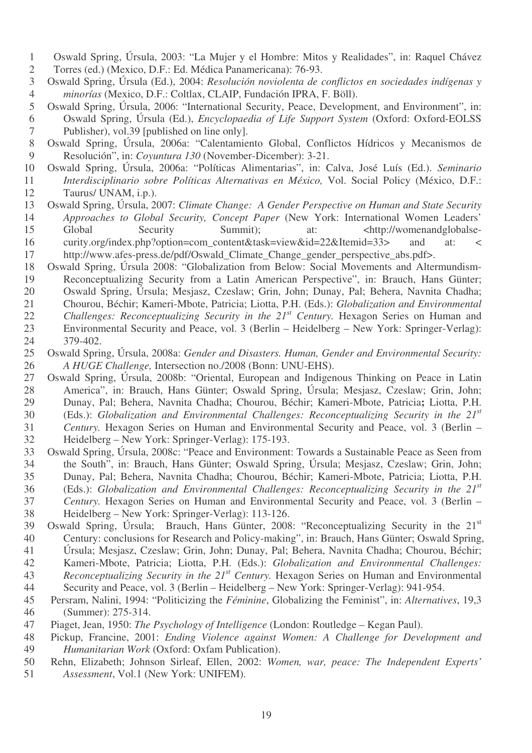- Oswald Spring, Úrsula, 2003: "La Mujer y el Hombre: Mitos y Realidades", in: Raquel Chávez
- Torres (ed.) (Mexico, D.F.: Ed. Médica Panamericana): 76-93.
- Oswald Spring, Úrsula (Ed.), 2004: *Resolución noviolenta de conflictos en sociedades indígenas y minorías* (Mexico, D.F.: Coltlax, CLAIP, Fundación IPRA, F. Böll).
- Oswald Spring, Úrsula, 2006: "International Security, Peace, Development, and Environment", in: Oswald Spring, Úrsula (Ed.), *Encyclopaedia of Life Support System* (Oxford: Oxford-EOLSS Publisher), vol.39 [published on line only].
- Oswald Spring, Úrsula, 2006a: "Calentamiento Global, Conflictos Hídricos y Mecanismos de Resolución", in: *Coyuntura 130* (November-Dicember): 3-21.
- Oswald Spring, Úrsula, 2006a: "Políticas Alimentarias", in: Calva, José Luís (Ed.). *Seminario Interdisciplinario sobre Políticas Alternativas en México,* Vol. Social Policy (México, D.F.: Taurus/ UNAM, i.p.).
- Oswald Spring, Úrsula, 2007: *Climate Change: A Gender Perspective on Human and State Security Approaches to Global Security, Concept Paper* (New York: International Women Leaders' Global Security Summit); at: <http://womenandglobalse-16 curity.org/index.php?option=com\_content&task=view&id=22&Itemid=33> and at: <
- http://www.afes-press.de/pdf/Oswald\_Climate\_Change\_gender\_perspective\_abs.pdf>.
- Oswald Spring, Úrsula 2008: "Globalization from Below: Social Movements and Altermundism-Reconceptualizing Security from a Latin American Perspective", in: Brauch, Hans Günter;
- Oswald Spring, Úrsula; Mesjasz, Czeslaw; Grin, John; Dunay, Pal; Behera, Navnita Chadha;
- Chourou, Béchir; Kameri-Mbote, Patricia; Liotta, P.H. (Eds.): *Globalization and Environmental*
- 22 *Challenges: Reconceptualizing Security in the 21<sup>st</sup> Century. Hexagon Series on Human and* Environmental Security and Peace, vol. 3 (Berlin – Heidelberg – New York: Springer-Verlag):
- 379-402.
- Oswald Spring, Úrsula, 2008a: *Gender and Disasters. Human, Gender and Environmental Security: A HUGE Challenge,* Intersection no./2008 (Bonn: UNU-EHS).
- Oswald Spring, Úrsula, 2008b: "Oriental, European and Indigenous Thinking on Peace in Latin America", in: Brauch, Hans Günter; Oswald Spring, Úrsula; Mesjasz, Czeslaw; Grin, John; Dunay, Pal; Behera, Navnita Chadha; Chourou, Béchir; Kameri-Mbote, Patricia**;** Liotta, P.H. (Eds.): *Globalization and Environmental Challenges: Reconceptualizing Security in the 21 st Century.* Hexagon Series on Human and Environmental Security and Peace, vol. 3 (Berlin –
- Heidelberg New York: Springer-Verlag): 175-193.
- Oswald Spring, Úrsula, 2008c: "Peace and Environment: Towards a Sustainable Peace as Seen from the South", in: Brauch, Hans Günter; Oswald Spring, Úrsula; Mesjasz, Czeslaw; Grin, John; Dunay, Pal; Behera, Navnita Chadha; Chourou, Béchir; Kameri-Mbote, Patricia; Liotta, P.H. (Eds.): *Globalization and Environmental Challenges: Reconceptualizing Security in the 21 st*
- *Century.* Hexagon Series on Human and Environmental Security and Peace, vol. 3 (Berlin –
- Heidelberg New York: Springer-Verlag): 113-126.
- Oswald Spring, Úrsula; Brauch, Hans Günter, 2008: "Reconceptualizing Security in the 21<sup>st</sup> Century: conclusions for Research and Policy-making", in: Brauch, Hans Günter; Oswald Spring,
- Úrsula; Mesjasz, Czeslaw; Grin, John; Dunay, Pal; Behera, Navnita Chadha; Chourou, Béchir;
- Kameri-Mbote, Patricia; Liotta, P.H. (Eds.): *Globalization and Environmental Challenges:*
- *Reconceptualizing Security in the 21 st Century.* Hexagon Series on Human and Environmental Security and Peace, vol. 3 (Berlin – Heidelberg – New York: Springer-Verlag): 941-954.
- 
- Persram, Nalini, 1994: "Politicizing the *Féminine*, Globalizing the Feminist", in: *Alternatives*, 19,3 (Summer): 275-314.
- Piaget, Jean, 1950: *The Psychology of Intelligence* (London: Routledge Kegan Paul).
- Pickup, Francine, 2001: *Ending Violence against Women: A Challenge for Development and Humanitarian Work* (Oxford: Oxfam Publication).
- Rehn, Elizabeth; Johnson Sirleaf, Ellen, 2002: *Women, war, peace: The Independent Experts' Assessment*, Vol.1 (New York: UNIFEM).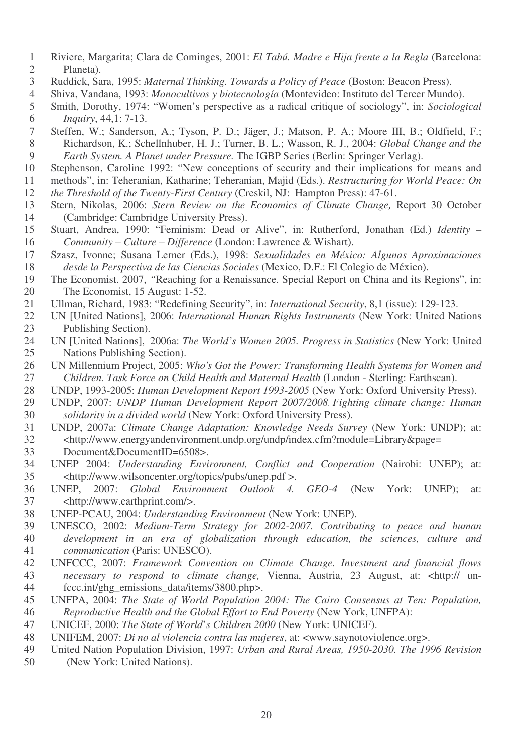- Riviere, Margarita; Clara de Cominges, 2001: *El Tabú. Madre e Hija frente a la Regla* (Barcelona: Planeta).
- Ruddick, Sara, 1995: *Maternal Thinking. Towards a Policy of Peace* (Boston: Beacon Press).
- Shiva, Vandana, 1993: *Monocultivos y biotecnología* (Montevideo: Instituto del Tercer Mundo).
- Smith, Dorothy, 1974: "Women's perspective as a radical critique of sociology", in: *Sociological Inquiry*, 44,1: 7-13.
- Steffen, W.; Sanderson, A.; Tyson, P. D.; Jäger, J.; Matson, P. A.; Moore III, B.; Oldfield, F.; Richardson, K.; Schellnhuber, H. J.; Turner, B. L.; Wasson, R. J., 2004: *Global Change and the Earth System. A Planet under Pressure.* The IGBP Series (Berlin: Springer Verlag).
- Stephenson, Caroline 1992: "New conceptions of security and their implications for means and
- methods", in: Teheranian, Katharine; Teheranian, Majid (Eds.). *Restructuring for World Peace: On*
- *the Threshold of the Twenty-First Century* (Creskil, NJ: Hampton Press): 47-61.
- Stern, Nikolas, 2006: *Stern Review on the Economics of Climate Change,* Report 30 October (Cambridge: Cambridge University Press).
- Stuart, Andrea, 1990: "Feminism: Dead or Alive", in: Rutherford, Jonathan (Ed.) *Identity – Community – Culture – Difference* (London: Lawrence & Wishart).
- Szasz, Ivonne; Susana Lerner (Eds.), 1998: *Sexualidades en México: Algunas Aproximaciones desde la Perspectiva de las Ciencias Sociales* (Mexico, D.F.: El Colegio de México).
- The Economist. 2007, *"*Reaching for a Renaissance. Special Report on China and its Regions", in: The Economist, 15 August: 1-52.
- Ullman, Richard, 1983: "Redefining Security", in: *International Security*, 8,1 (issue): 129-123.
- UN [United Nations], 2006: *International Human Rights Instruments* (New York: United Nations Publishing Section).
- UN [United Nations], 2006a: *The World's Women 2005. Progress in Statistics* (New York: United Nations Publishing Section).
- UN Millennium Project, 2005: *Who's Got the Power: Transforming Health Systems for Women and Children. Task Force on Child Health and Maternal Health* (London - Sterling: Earthscan).
- UNDP, 1993-2005: *Human Development Report 1993-2005* (New York: Oxford University Press).
- UNDP, 2007: *UNDP Human Development Report 2007/2008 Fighting climate change: Human solidarity in a divided world* (New York: Oxford University Press).
- UNDP, 2007a: *Climate Change Adaptation: Knowledge Needs Survey* (New York: UNDP); at: <http://www.energyandenvironment.undp.org/undp/index.cfm?module=Library&page= Document&DocumentID=6508>.
- UNEP 2004: *Understanding Environment, Conflict and Cooperation* (Nairobi: UNEP); at: <http://www.wilsoncenter.org/topics/pubs/unep.pdf >.
- UNEP, 2007: *Global Environment Outlook 4. GEO-4* (New York: UNEP); at: <http://www.earthprint.com/>.
- UNEP-PCAU, 2004: *Understanding Environment* (New York: UNEP).
- UNESCO, 2002: *Medium-Term Strategy for 2002-2007. Contributing to peace and human development in an era of globalization through education, the sciences, culture and communication* (Paris: UNESCO).
- UNFCCC, 2007: *Framework Convention on Climate Change. Investment and financial flows necessary to respond to climate change,* Vienna, Austria, 23 August, at: <http:// un-fccc.int/ghg\_emissions\_data/items/3800.php>.
- UNFPA, 2004: *The State of World Population 2004: The Cairo Consensus at Ten: Population, Reproductive Health and the Global Effort to End Poverty* (New York, UNFPA):
- UNICEF, 2000: *The State of World*'*s Children 2000* (New York: UNICEF).
- UNIFEM, 2007: *Di no al violencia contra las mujeres*, at: <www.saynotoviolence.org>.
- United Nation Population Division, 1997: *Urban and Rural Areas, 1950-2030. The 1996 Revision* (New York: United Nations).